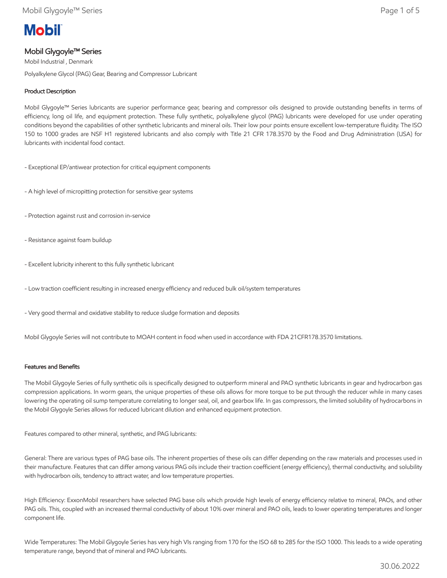# **Mobil**

## Mobil Glygoyle™ Series

Mobil Industrial , Denmark Polyalkylene Glycol (PAG) Gear, Bearing and Compressor Lubricant

## Product Description

Mobil Glygoyle™ Series lubricants are superior performance gear, bearing and compressor oils designed to provide outstanding benefits in terms of efficiency, long oil life, and equipment protection. These fully synthetic, polyalkylene glycol (PAG) lubricants were developed for use under operating conditions beyond the capabilities of other synthetic lubricants and mineral oils. Their low pour points ensure excellent low-temperature fluidity. The ISO 150 to 1000 grades are NSF H1 registered lubricants and also comply with Title 21 CFR 178.3570 by the Food and Drug Administration (USA) for lubricants with incidental food contact.

- Exceptional EP/antiwear protection for critical equipment components
- A high level of micropitting protection for sensitive gear systems
- Protection against rust and corrosion in-service
- Resistance against foam buildup
- Excellent lubricity inherent to this fully synthetic lubricant
- Low traction coefficient resulting in increased energy efficiency and reduced bulk oil/system temperatures
- Very good thermal and oxidative stability to reduce sludge formation and deposits

Mobil Glygoyle Series will not contribute to MOAH content in food when used in accordance with FDA 21CFR178.3570 limitations.

## Features and Benefits

The Mobil Glygoyle Series of fully synthetic oils is specifically designed to outperform mineral and PAO synthetic lubricants in gear and hydrocarbon gas compression applications. In worm gears, the unique properties of these oils allows for more torque to be put through the reducer while in many cases lowering the operating oil sump temperature correlating to longer seal, oil, and gearbox life. In gas compressors, the limited solubility of hydrocarbons in the Mobil Glygoyle Series allows for reduced lubricant dilution and enhanced equipment protection.

Features compared to other mineral, synthetic, and PAG lubricants:

General: There are various types of PAG base oils. The inherent properties of these oils can differ depending on the raw materials and processes used in their manufacture. Features that can differ among various PAG oils include their traction coefficient (energy efficiency), thermal conductivity, and solubility with hydrocarbon oils, tendency to attract water, and low temperature properties.

High Efficiency: ExxonMobil researchers have selected PAG base oils which provide high levels of energy efficiency relative to mineral, PAOs, and other PAG oils. This, coupled with an increased thermal conductivity of about 10% over mineral and PAO oils, leads to lower operating temperatures and longer component life.

Wide Temperatures: The Mobil Glygoyle Series has very high VIs ranging from 170 for the ISO 68 to 285 for the ISO 1000. This leads to a wide operating temperature range, beyond that of mineral and PAO lubricants.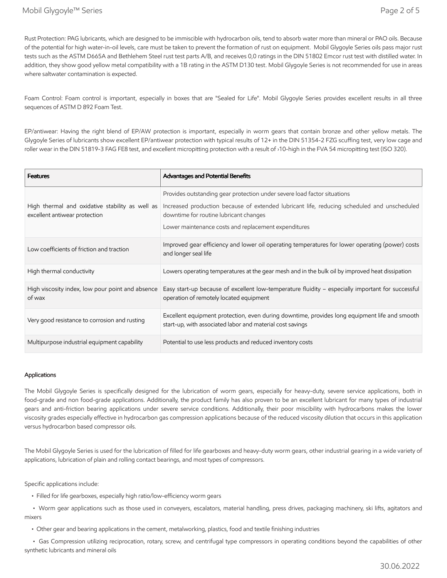Rust Protection: PAG lubricants, which are designed to be immiscible with hydrocarbon oils, tend to absorb water more than mineral or PAO oils. Because of the potential for high water-in-oil levels, care must be taken to prevent the formation of rust on equipment. Mobil Glygoyle Series oils pass major rust tests such as the ASTM D665A and Bethlehem Steel rust test parts A/B, and receives 0,0 ratings in the DIN 51802 Emcor rust test with distilled water. In addition, they show good yellow metal compatibility with a 1B rating in the ASTM D130 test. Mobil Glygoyle Series is not recommended for use in areas where saltwater contamination is expected.

Foam Control: Foam control is important, especially in boxes that are "Sealed for Life". Mobil Glygoyle Series provides excellent results in all three sequences of ASTM D 892 Foam Test.

EP/antiwear: Having the right blend of EP/AW protection is important, especially in worm gears that contain bronze and other yellow metals. The Glygoyle Series of lubricants show excellent EP/antiwear protection with typical results of 12+ in the DIN 51354-2 FZG scuffing test, very low cage and roller wear in the DIN 51819-3 FAG FE8 test, and excellent micropitting protection with a result of ›10-high in the FVA 54 micropitting test (ISO 320).

| <b>Features</b>                                                                  | Advantages and Potential Benefits                                                                                                                          |
|----------------------------------------------------------------------------------|------------------------------------------------------------------------------------------------------------------------------------------------------------|
|                                                                                  | Provides outstanding gear protection under severe load factor situations                                                                                   |
| High thermal and oxidative stability as well as<br>excellent antiwear protection | Increased production because of extended lubricant life, reducing scheduled and unscheduled<br>downtime for routine lubricant changes                      |
|                                                                                  | Lower maintenance costs and replacement expenditures                                                                                                       |
| Low coefficients of friction and traction                                        | Improved gear efficiency and lower oil operating temperatures for lower operating (power) costs<br>and longer seal life                                    |
| High thermal conductivity                                                        | Lowers operating temperatures at the gear mesh and in the bulk oil by improved heat dissipation                                                            |
| High viscosity index, low pour point and absence<br>of wax                       | Easy start-up because of excellent low-temperature fluidity - especially important for successful<br>operation of remotely located equipment               |
| Very good resistance to corrosion and rusting                                    | Excellent equipment protection, even during downtime, provides long equipment life and smooth<br>start-up, with associated labor and material cost savings |
| Multipurpose industrial equipment capability                                     | Potential to use less products and reduced inventory costs                                                                                                 |

#### Applications

The Mobil Glygoyle Series is specifically designed for the lubrication of worm gears, especially for heavy-duty, severe service applications, both in food-grade and non food-grade applications. Additionally, the product family has also proven to be an excellent lubricant for many types of industrial gears and anti-friction bearing applications under severe service conditions. Additionally, their poor miscibility with hydrocarbons makes the lower viscosity grades especially effective in hydrocarbon gas compression applications because of the reduced viscosity dilution that occurs in this application versus hydrocarbon based compressor oils.

The Mobil Glygoyle Series is used for the lubrication of filled for life gearboxes and heavy-duty worm gears, other industrial gearing in a wide variety of applications, lubrication of plain and rolling contact bearings, and most types of compressors.

Specific applications include:

• Filled for life gearboxes, especially high ratio/low-efficiency worm gears

 • Worm gear applications such as those used in conveyers, escalators, material handling, press drives, packaging machinery, ski lifts, agitators and mixers

• Other gear and bearing applications in the cement, metalworking, plastics, food and textile finishing industries

 • Gas Compression utilizing reciprocation, rotary, screw, and centrifugal type compressors in operating conditions beyond the capabilities of other synthetic lubricants and mineral oils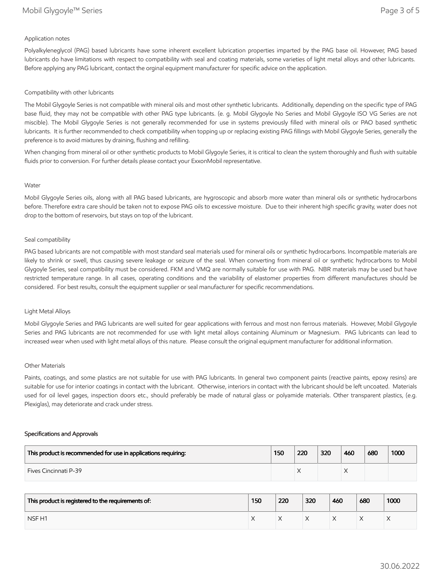#### Application notes

Polyalkyleneglycol (PAG) based lubricants have some inherent excellent lubrication properties imparted by the PAG base oil. However, PAG based lubricants do have limitations with respect to compatibility with seal and coating materials, some varieties of light metal alloys and other lubricants. Before applying any PAG lubricant, contact the orginal equipment manufacturer for specific advice on the application.

#### Compatibility with other lubricants

The Mobil Glygoyle Series is not compatible with mineral oils and most other synthetic lubricants. Additionally, depending on the specific type of PAG base fluid, they may not be compatible with other PAG type lubricants. (e. g. Mobil Glygoyle No Series and Mobil Glygoyle ISO VG Series are not miscible). The Mobil Glygoyle Series is not generally recommended for use in systems previously filled with mineral oils or PAO based synthetic lubricants. It is further recommended to check compatibility when topping up or replacing existing PAG fillings with Mobil Glygoyle Series, generally the preference is to avoid mixtures by draining, flushing and refilling.

When changing from mineral oil or other synthetic products to Mobil Glygoyle Series, it is critical to clean the system thoroughly and flush with suitable fluids prior to conversion. For further details please contact your ExxonMobil representative.

#### Water

Mobil Glygoyle Series oils, along with all PAG based lubricants, are hygroscopic and absorb more water than mineral oils or synthetic hydrocarbons before. Therefore extra care should be taken not to expose PAG oils to excessive moisture. Due to their inherent high specific gravity, water does not drop to the bottom of reservoirs, but stays on top of the lubricant.

#### Seal compatibility

PAG based lubricants are not compatible with most standard seal materials used for mineral oils or synthetic hydrocarbons. Incompatible materials are likely to shrink or swell, thus causing severe leakage or seizure of the seal. When converting from mineral oil or synthetic hydrocarbons to Mobil Glygoyle Series, seal compatibility must be considered. FKM and VMQ are normally suitable for use with PAG. NBR materials may be used but have restricted temperature range. In all cases, operating conditions and the variability of elastomer properties from different manufactures should be considered. For best results, consult the equipment supplier or seal manufacturer for specific recommendations.

#### Light Metal Alloys

Mobil Glygoyle Series and PAG lubricants are well suited for gear applications with ferrous and most non ferrous materials. However, Mobil Glygoyle Series and PAG lubricants are not recommended for use with light metal alloys containing Aluminum or Magnesium. PAG lubricants can lead to increased wear when used with light metal alloys of this nature. Please consult the original equipment manufacturer for additional information.

#### Other Materials

Paints, coatings, and some plastics are not suitable for use with PAG lubricants. In general two component paints (reactive paints, epoxy resins) are suitable for use for interior coatings in contact with the lubricant. Otherwise, interiors in contact with the lubricant should be left uncoated. Materials used for oil level gages, inspection doors etc., should preferably be made of natural glass or polyamide materials. Other transparent plastics, (e.g. Plexiglas), may deteriorate and crack under stress.

#### Specifications and Approvals

| This product is recommended for use in applications requiring: | 150 | 220 | 320 | 460 | 680 | 1000 |
|----------------------------------------------------------------|-----|-----|-----|-----|-----|------|
| <b>Fives Cincinnati P-39</b>                                   |     | ∧   |     |     |     |      |

| This product is registered to the requirements of: | 150 | 220 | 320 | 460 | 680 | 1000 |
|----------------------------------------------------|-----|-----|-----|-----|-----|------|
| NSF <sub>H1</sub>                                  |     |     |     |     | ∧   |      |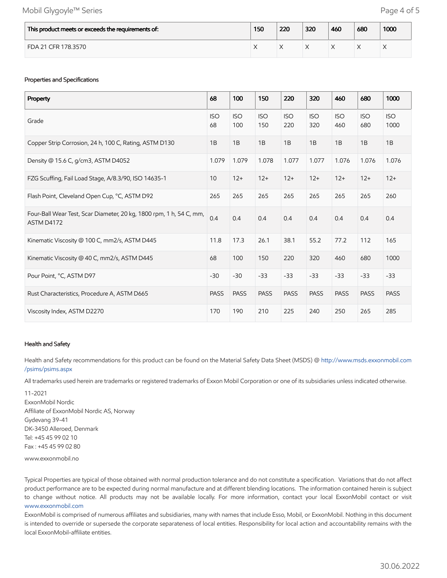## Mobil Glygoyle™ Series **Page 4 of 5**

| This product meets or exceeds the requirements of: | 150 | 220 | 320 | 460 | 680 | 1000 |
|----------------------------------------------------|-----|-----|-----|-----|-----|------|
| FDA 21 CFR 178.3570                                |     |     |     |     |     |      |

### Properties and Specifications

| Property                                                                          | 68               | 100               | 150               | 220               | 320               | 460               | 680               | 1000               |
|-----------------------------------------------------------------------------------|------------------|-------------------|-------------------|-------------------|-------------------|-------------------|-------------------|--------------------|
| Grade                                                                             | <b>ISO</b><br>68 | <b>ISO</b><br>100 | <b>ISO</b><br>150 | <b>ISO</b><br>220 | <b>ISO</b><br>320 | <b>ISO</b><br>460 | <b>ISO</b><br>680 | <b>ISO</b><br>1000 |
| Copper Strip Corrosion, 24 h, 100 C, Rating, ASTM D130                            | 1B               | 1B                | 1B                | 1B                | 1B                | 1B                | 1B                | 1B                 |
| Density @ 15.6 C, g/cm3, ASTM D4052                                               | 1.079            | 1.079             | 1.078             | 1.077             | 1.077             | 1.076             | 1.076             | 1.076              |
| FZG Scuffing, Fail Load Stage, A/8.3/90, ISO 14635-1                              | 10               | $12+$             | $12+$             | $12+$             | $12+$             | $12+$             | $12+$             | $12+$              |
| Flash Point, Cleveland Open Cup, °C, ASTM D92                                     | 265              | 265               | 265               | 265               | 265               | 265               | 265               | 260                |
| Four-Ball Wear Test, Scar Diameter, 20 kg, 1800 rpm, 1 h, 54 C, mm,<br>ASTM D4172 | 0.4              | 0.4               | 0.4               | 0.4               | 0.4               | 0.4               | 0.4               | 0.4                |
| Kinematic Viscosity @ 100 C, mm2/s, ASTM D445                                     | 11.8             | 17.3              | 26.1              | 38.1              | 55.2              | 77.2              | 112               | 165                |
| Kinematic Viscosity @ 40 C, mm2/s, ASTM D445                                      | 68               | 100               | 150               | 220               | 320               | 460               | 680               | 1000               |
| Pour Point, °C, ASTM D97                                                          | $-30$            | $-30$             | $-33$             | $-33$             | $-33$             | $-33$             | $-33$             | $-33$              |
| Rust Characteristics, Procedure A, ASTM D665                                      | <b>PASS</b>      | <b>PASS</b>       | <b>PASS</b>       | <b>PASS</b>       | <b>PASS</b>       | <b>PASS</b>       | <b>PASS</b>       | <b>PASS</b>        |
| Viscosity Index, ASTM D2270                                                       | 170              | 190               | 210               | 225               | 240               | 250               | 265               | 285                |

#### Health and Safety

Health and Safety recommendations for this product can be found on the Material Safety Data Sheet (MSDS) @ [http://www.msds.exxonmobil.com](http://www.msds.exxonmobil.com/psims/psims.aspx) /psims/psims.aspx

All trademarks used herein are trademarks or registered trademarks of Exxon Mobil Corporation or one of its subsidiaries unless indicated otherwise.

11-2021 ExxonMobil Nordic Affiliate of ExxonMobil Nordic AS, Norway Gydevang 39-41 DK-3450 Alleroed, Denmark Tel: +45 45 99 02 10 Fax : +45 45 99 02 80

www.exxonmobil.no

Typical Properties are typical of those obtained with normal production tolerance and do not constitute a specification. Variations that do not affect product performance are to be expected during normal manufacture and at different blending locations. The information contained herein is subject to change without notice. All products may not be available locally. For more information, contact your local ExxonMobil contact or visit [www.exxonmobil.com](http://www.exxonmobil.com/)

ExxonMobil is comprised of numerous affiliates and subsidiaries, many with names that include Esso, Mobil, or ExxonMobil. Nothing in this document is intended to override or supersede the corporate separateness of local entities. Responsibility for local action and accountability remains with the local ExxonMobil-affiliate entities.